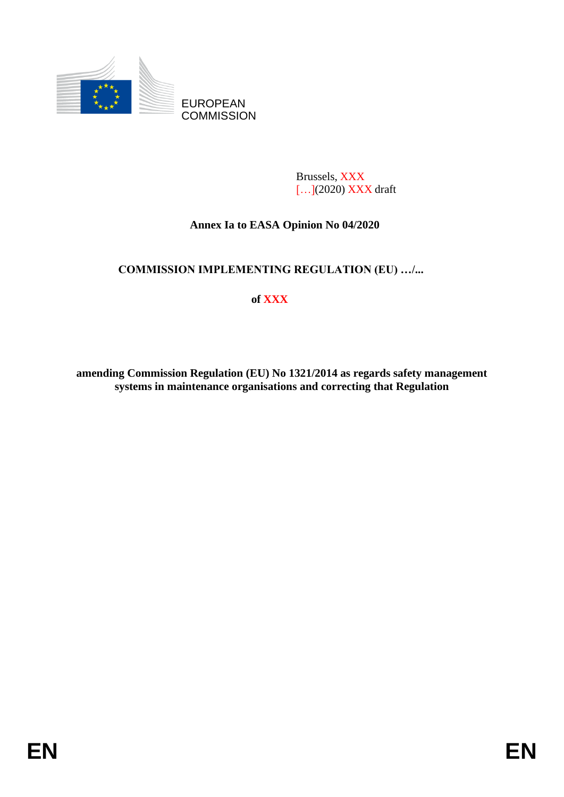

Brussels, XXX [...](2020) **XXX** draft

## **Annex Ia to EASA Opinion No 04/2020**

## **COMMISSION IMPLEMENTING REGULATION (EU) …/...**

# **of XXX**

**amending Commission Regulation (EU) No 1321/2014 as regards safety management systems in maintenance organisations and correcting that Regulation**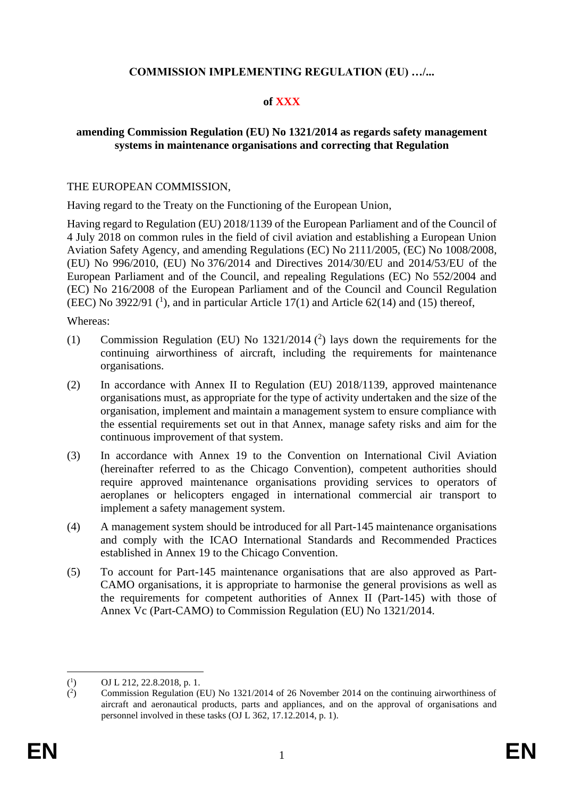## **COMMISSION IMPLEMENTING REGULATION (EU) …/...**

## **of XXX**

### **amending Commission Regulation (EU) No 1321/2014 as regards safety management systems in maintenance organisations and correcting that Regulation**

#### THE EUROPEAN COMMISSION,

Having regard to the Treaty on the Functioning of the European Union,

Having regard to Regulation (EU) 2018/1139 of the European Parliament and of the Council of 4 July 2018 on common rules in the field of civil aviation and establishing a European Union Aviation Safety Agency, and amending Regulations (EC) No 2111/2005, (EC) No 1008/2008, (EU) No 996/2010, (EU) No 376/2014 and Directives 2014/30/EU and 2014/53/EU of the European Parliament and of the Council, and repealing Regulations (EC) No 552/2004 and (EC) No 216/2008 of the European Parliament and of the Council and Council Regulation (EEC) No 3922/91  $(1)$ , and in particular Article 17(1) and Article 62(14) and (15) thereof,

Whereas:

- (1) Commission Regulation (EU) No  $1321/2014$  (<sup>2</sup>) lays down the requirements for the continuing airworthiness of aircraft, including the requirements for maintenance organisations.
- (2) In accordance with Annex II to Regulation (EU) 2018/1139, approved maintenance organisations must, as appropriate for the type of activity undertaken and the size of the organisation, implement and maintain a management system to ensure compliance with the essential requirements set out in that Annex, manage safety risks and aim for the continuous improvement of that system.
- (3) In accordance with Annex 19 to the Convention on International Civil Aviation (hereinafter referred to as the Chicago Convention), competent authorities should require approved maintenance organisations providing services to operators of aeroplanes or helicopters engaged in international commercial air transport to implement a safety management system.
- (4) A management system should be introduced for all Part-145 maintenance organisations and comply with the ICAO International Standards and Recommended Practices established in Annex 19 to the Chicago Convention.
- (5) To account for Part-145 maintenance organisations that are also approved as Part-CAMO organisations, it is appropriate to harmonise the general provisions as well as the requirements for competent authorities of Annex II (Part-145) with those of Annex Vc (Part-CAMO) to Commission Regulation (EU) No 1321/2014.

 $(^1$ ) OJ L 212, 22.8.2018, p. 1.

 $($ <sup>2</sup> ) Commission Regulation (EU) No 1321/2014 of 26 November 2014 on the continuing airworthiness of aircraft and aeronautical products, parts and appliances, and on the approval of organisations and personnel involved in these tasks (OJ L 362, 17.12.2014, p. 1).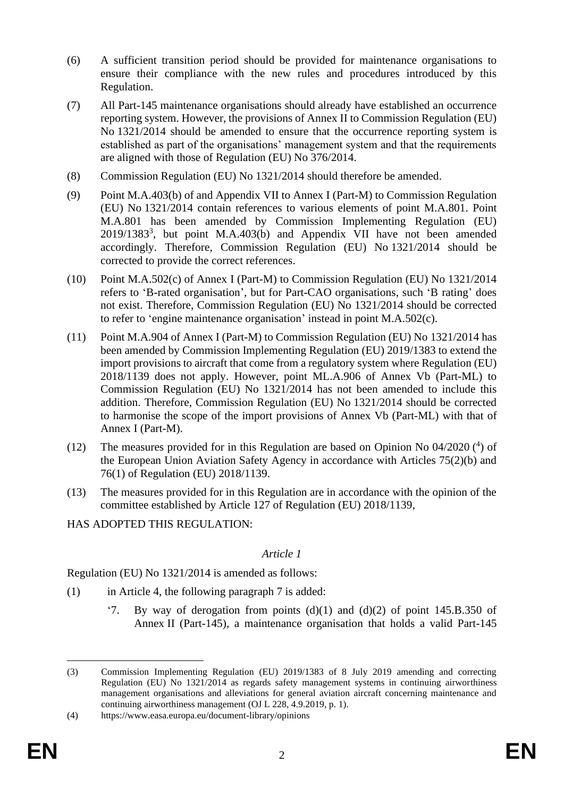- (6) A sufficient transition period should be provided for maintenance organisations to ensure their compliance with the new rules and procedures introduced by this Regulation.
- (7) All Part-145 maintenance organisations should already have established an occurrence reporting system. However, the provisions of Annex II to Commission Regulation (EU) No 1321/2014 should be amended to ensure that the occurrence reporting system is established as part of the organisations' management system and that the requirements are aligned with those of Regulation (EU) No 376/2014.
- (8) Commission Regulation (EU) No 1321/2014 should therefore be amended.
- (9) Point M.A.403(b) of and Appendix VII to Annex I (Part-M) to Commission Regulation (EU) No 1321/2014 contain references to various elements of point M.A.801. Point M.A.801 has been amended by Commission Implementing Regulation (EU) 2019/1383<sup>3</sup>, but point M.A.403(b) and Appendix VII have not been amended accordingly. Therefore, Commission Regulation (EU) No 1321/2014 should be corrected to provide the correct references.
- (10) Point M.A.502(c) of Annex I (Part-M) to Commission Regulation (EU) No 1321/2014 refers to 'B-rated organisation', but for Part-CAO organisations, such 'B rating' does not exist. Therefore, Commission Regulation (EU) No 1321/2014 should be corrected to refer to 'engine maintenance organisation' instead in point M.A.502(c).
- (11) Point M.A.904 of Annex I (Part-M) to Commission Regulation (EU) No 1321/2014 has been amended by Commission Implementing Regulation (EU) 2019/1383 to extend the import provisions to aircraft that come from a regulatory system where Regulation (EU) 2018/1139 does not apply. However, point ML.A.906 of Annex Vb (Part-ML) to Commission Regulation (EU) No 1321/2014 has not been amended to include this addition. Therefore, Commission Regulation (EU) No 1321/2014 should be corrected to harmonise the scope of the import provisions of Annex Vb (Part-ML) with that of Annex I (Part-M).
- (12) The measures provided for in this Regulation are based on Opinion No 04/2020 ( 4 ) of the European Union Aviation Safety Agency in accordance with Articles 75(2)(b) and 76(1) of Regulation (EU) 2018/1139.
- (13) The measures provided for in this Regulation are in accordance with the opinion of the committee established by Article 127 of Regulation (EU) 2018/1139,
- HAS ADOPTED THIS REGULATION:

#### *Article 1*

Regulation (EU) No 1321/2014 is amended as follows:

- (1) in Article 4, the following paragraph 7 is added:
	- '7. By way of derogation from points  $(d)(1)$  and  $(d)(2)$  of point 145.B.350 of Annex II (Part-145), a maintenance organisation that holds a valid Part-145

<sup>(3)</sup> Commission Implementing Regulation (EU) 2019/1383 of 8 July 2019 amending and correcting Regulation (EU) No 1321/2014 as regards safety management systems in continuing airworthiness management organisations and alleviations for general aviation aircraft concerning maintenance and continuing airworthiness management (OJ L 228, 4.9.2019, p. 1).

<sup>(4)</sup> https://www.easa.europa.eu/document-library/opinions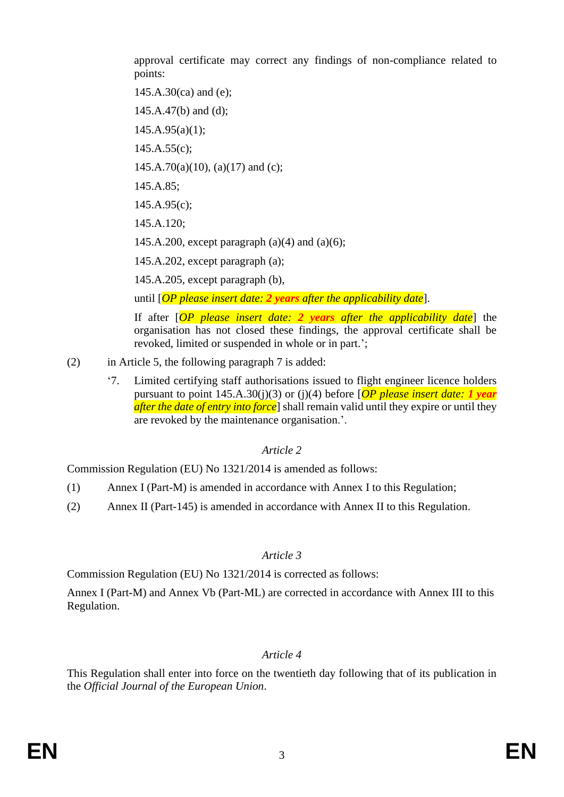approval certificate may correct any findings of non-compliance related to points:

145.A.30(ca) and (e);

 $145.A.47(b)$  and (d);

 $145.A.95(a)(1);$ 

 $145.A.55(c);$ 

 $145.A.70(a)(10)$ ,  $(a)(17)$  and  $(c)$ ;

145.A.85;

 $145.A.95(c)$ ;

145.A.120;

145.A.200, except paragraph  $(a)(4)$  and  $(a)(6)$ ;

145.A.202, except paragraph (a);

145.A.205, except paragraph (b),

until [*OP please insert date: 2 years after the applicability date*].

If after [*OP please insert date: 2 years after the applicability date*] the organisation has not closed these findings, the approval certificate shall be revoked, limited or suspended in whole or in part.';

- (2) in Article 5, the following paragraph 7 is added:
	- '7. Limited certifying staff authorisations issued to flight engineer licence holders pursuant to point 145.A.30(j)(3) or (j)(4) before [*OP please insert date: 1 year after the date of entry into force*] shall remain valid until they expire or until they are revoked by the maintenance organisation.'.

## *Article 2*

Commission Regulation (EU) No 1321/2014 is amended as follows:

- (1) Annex I (Part-M) is amended in accordance with Annex I to this Regulation;
- (2) Annex II (Part-145) is amended in accordance with Annex II to this Regulation.

#### *Article 3*

Commission Regulation (EU) No 1321/2014 is corrected as follows:

Annex I (Part-M) and Annex Vb (Part-ML) are corrected in accordance with Annex III to this Regulation.

## *Article 4*

This Regulation shall enter into force on the twentieth day following that of its publication in the *Official Journal of the European Union*.